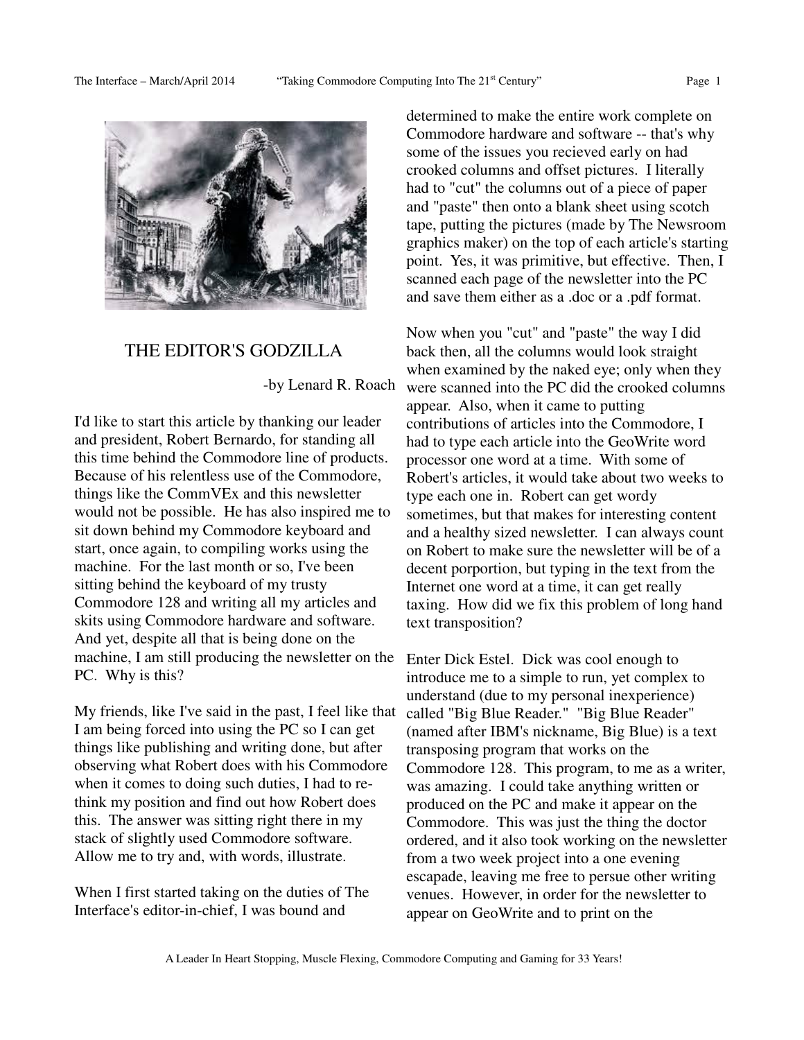

## THE EDITOR'S GODZILLA

-by Lenard R. Roach

I'd like to start this article by thanking our leader and president, Robert Bernardo, for standing all this time behind the Commodore line of products. Because of his relentless use of the Commodore, things like the CommVEx and this newsletter would not be possible. He has also inspired me to sit down behind my Commodore keyboard and start, once again, to compiling works using the machine. For the last month or so, I've been sitting behind the keyboard of my trusty Commodore 128 and writing all my articles and skits using Commodore hardware and software. And yet, despite all that is being done on the machine, I am still producing the newsletter on the PC. Why is this?

My friends, like I've said in the past, I feel like that I am being forced into using the PC so I can get things like publishing and writing done, but after observing what Robert does with his Commodore when it comes to doing such duties, I had to rethink my position and find out how Robert does this. The answer was sitting right there in my stack of slightly used Commodore software. Allow me to try and, with words, illustrate.

When I first started taking on the duties of The Interface's editor-in-chief, I was bound and

determined to make the entire work complete on Commodore hardware and software -- that's why some of the issues you recieved early on had crooked columns and offset pictures. I literally had to "cut" the columns out of a piece of paper and "paste" then onto a blank sheet using scotch tape, putting the pictures (made by The Newsroom graphics maker) on the top of each article's starting point. Yes, it was primitive, but effective. Then, I scanned each page of the newsletter into the PC and save them either as a .doc or a .pdf format.

Now when you "cut" and "paste" the way I did back then, all the columns would look straight when examined by the naked eye; only when they were scanned into the PC did the crooked columns appear. Also, when it came to putting contributions of articles into the Commodore, I had to type each article into the GeoWrite word processor one word at a time. With some of Robert's articles, it would take about two weeks to type each one in. Robert can get wordy sometimes, but that makes for interesting content and a healthy sized newsletter. I can always count on Robert to make sure the newsletter will be of a decent porportion, but typing in the text from the Internet one word at a time, it can get really taxing. How did we fix this problem of long hand text transposition?

Enter Dick Estel. Dick was cool enough to introduce me to a simple to run, yet complex to understand (due to my personal inexperience) called "Big Blue Reader." "Big Blue Reader" (named after IBM's nickname, Big Blue) is a text transposing program that works on the Commodore 128. This program, to me as a writer, was amazing. I could take anything written or produced on the PC and make it appear on the Commodore. This was just the thing the doctor ordered, and it also took working on the newsletter from a two week project into a one evening escapade, leaving me free to persue other writing venues. However, in order for the newsletter to appear on GeoWrite and to print on the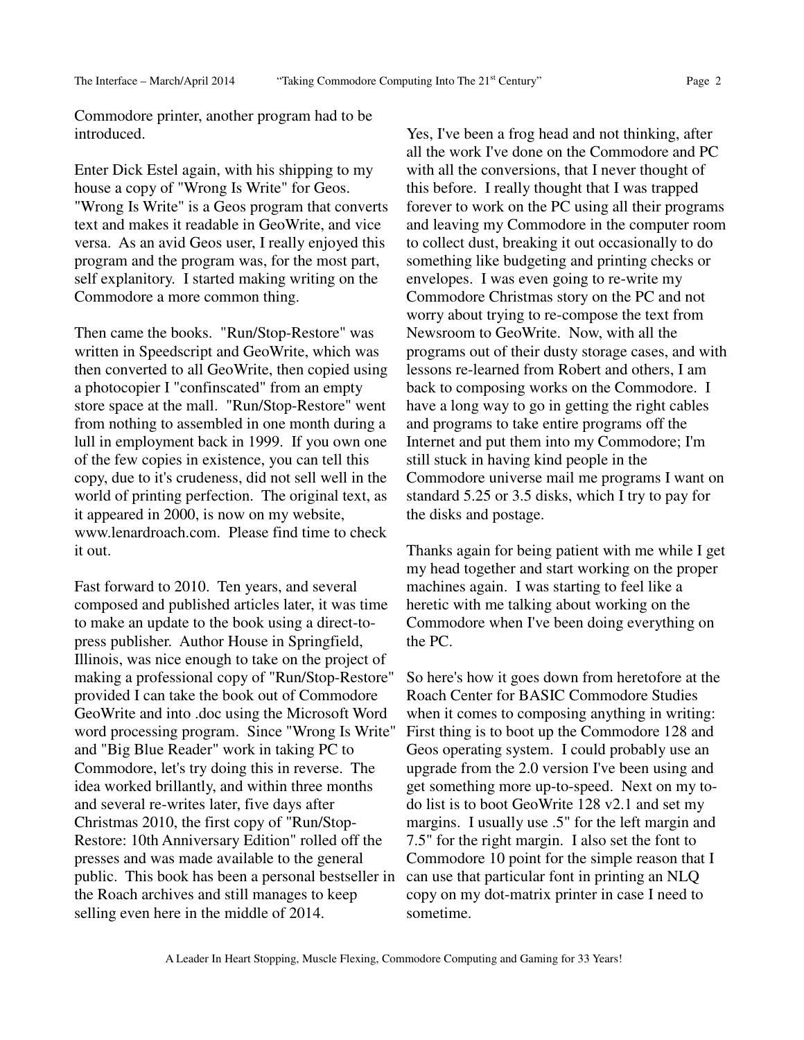Commodore printer, another program had to be introduced.

Enter Dick Estel again, with his shipping to my house a copy of "Wrong Is Write" for Geos. "Wrong Is Write" is a Geos program that converts text and makes it readable in GeoWrite, and vice versa. As an avid Geos user, I really enjoyed this program and the program was, for the most part, self explanitory. I started making writing on the Commodore a more common thing.

Then came the books. "Run/Stop-Restore" was written in Speedscript and GeoWrite, which was then converted to all GeoWrite, then copied using a photocopier I "confinscated" from an empty store space at the mall. "Run/Stop-Restore" went from nothing to assembled in one month during a lull in employment back in 1999. If you own one of the few copies in existence, you can tell this copy, due to it's crudeness, did not sell well in the world of printing perfection. The original text, as it appeared in 2000, is now on my website, www.lenardroach.com. Please find time to check it out.

Fast forward to 2010. Ten years, and several composed and published articles later, it was time to make an update to the book using a direct-topress publisher. Author House in Springfield, Illinois, was nice enough to take on the project of making a professional copy of "Run/Stop-Restore" provided I can take the book out of Commodore GeoWrite and into .doc using the Microsoft Word word processing program. Since "Wrong Is Write" and "Big Blue Reader" work in taking PC to Commodore, let's try doing this in reverse. The idea worked brillantly, and within three months and several re-writes later, five days after Christmas 2010, the first copy of "Run/Stop-Restore: 10th Anniversary Edition" rolled off the presses and was made available to the general public. This book has been a personal bestseller in the Roach archives and still manages to keep selling even here in the middle of 2014.

Yes, I've been a frog head and not thinking, after all the work I've done on the Commodore and PC with all the conversions, that I never thought of this before. I really thought that I was trapped forever to work on the PC using all their programs and leaving my Commodore in the computer room to collect dust, breaking it out occasionally to do something like budgeting and printing checks or envelopes. I was even going to re-write my Commodore Christmas story on the PC and not worry about trying to re-compose the text from Newsroom to GeoWrite. Now, with all the programs out of their dusty storage cases, and with lessons re-learned from Robert and others, I am back to composing works on the Commodore. I have a long way to go in getting the right cables and programs to take entire programs off the Internet and put them into my Commodore; I'm still stuck in having kind people in the Commodore universe mail me programs I want on standard 5.25 or 3.5 disks, which I try to pay for the disks and postage.

Thanks again for being patient with me while I get my head together and start working on the proper machines again. I was starting to feel like a heretic with me talking about working on the Commodore when I've been doing everything on the PC.

So here's how it goes down from heretofore at the Roach Center for BASIC Commodore Studies when it comes to composing anything in writing: First thing is to boot up the Commodore 128 and Geos operating system. I could probably use an upgrade from the 2.0 version I've been using and get something more up-to-speed. Next on my todo list is to boot GeoWrite 128 v2.1 and set my margins. I usually use .5" for the left margin and 7.5" for the right margin. I also set the font to Commodore 10 point for the simple reason that I can use that particular font in printing an NLQ copy on my dot-matrix printer in case I need to sometime.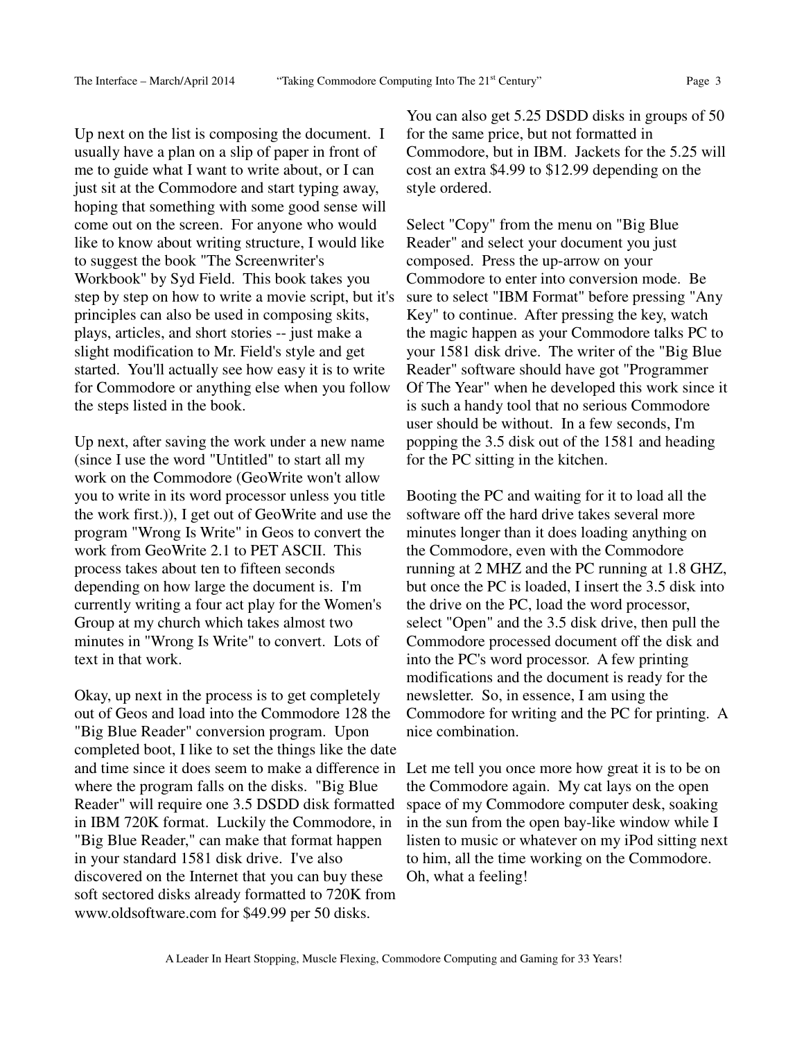Up next on the list is composing the document. I usually have a plan on a slip of paper in front of me to guide what I want to write about, or I can just sit at the Commodore and start typing away, hoping that something with some good sense will come out on the screen. For anyone who would like to know about writing structure, I would like to suggest the book "The Screenwriter's Workbook" by Syd Field. This book takes you step by step on how to write a movie script, but it's principles can also be used in composing skits, plays, articles, and short stories -- just make a slight modification to Mr. Field's style and get started. You'll actually see how easy it is to write for Commodore or anything else when you follow the steps listed in the book.

Up next, after saving the work under a new name (since I use the word "Untitled" to start all my work on the Commodore (GeoWrite won't allow you to write in its word processor unless you title the work first.)), I get out of GeoWrite and use the program "Wrong Is Write" in Geos to convert the work from GeoWrite 2.1 to PET ASCII. This process takes about ten to fifteen seconds depending on how large the document is. I'm currently writing a four act play for the Women's Group at my church which takes almost two minutes in "Wrong Is Write" to convert. Lots of text in that work.

Okay, up next in the process is to get completely out of Geos and load into the Commodore 128 the "Big Blue Reader" conversion program. Upon completed boot, I like to set the things like the date and time since it does seem to make a difference in Let me tell you once more how great it is to be on where the program falls on the disks. "Big Blue Reader" will require one 3.5 DSDD disk formatted in IBM 720K format. Luckily the Commodore, in "Big Blue Reader," can make that format happen in your standard 1581 disk drive. I've also discovered on the Internet that you can buy these soft sectored disks already formatted to 720K from www.oldsoftware.com for \$49.99 per 50 disks.

You can also get 5.25 DSDD disks in groups of 50 for the same price, but not formatted in Commodore, but in IBM. Jackets for the 5.25 will cost an extra \$4.99 to \$12.99 depending on the style ordered.

Select "Copy" from the menu on "Big Blue Reader" and select your document you just composed. Press the up-arrow on your Commodore to enter into conversion mode. Be sure to select "IBM Format" before pressing "Any Key" to continue. After pressing the key, watch the magic happen as your Commodore talks PC to your 1581 disk drive. The writer of the "Big Blue Reader" software should have got "Programmer Of The Year" when he developed this work since it is such a handy tool that no serious Commodore user should be without. In a few seconds, I'm popping the 3.5 disk out of the 1581 and heading for the PC sitting in the kitchen.

Booting the PC and waiting for it to load all the software off the hard drive takes several more minutes longer than it does loading anything on the Commodore, even with the Commodore running at 2 MHZ and the PC running at 1.8 GHZ, but once the PC is loaded, I insert the 3.5 disk into the drive on the PC, load the word processor, select "Open" and the 3.5 disk drive, then pull the Commodore processed document off the disk and into the PC's word processor. A few printing modifications and the document is ready for the newsletter. So, in essence, I am using the Commodore for writing and the PC for printing. A nice combination.

the Commodore again. My cat lays on the open space of my Commodore computer desk, soaking in the sun from the open bay-like window while I listen to music or whatever on my iPod sitting next to him, all the time working on the Commodore. Oh, what a feeling!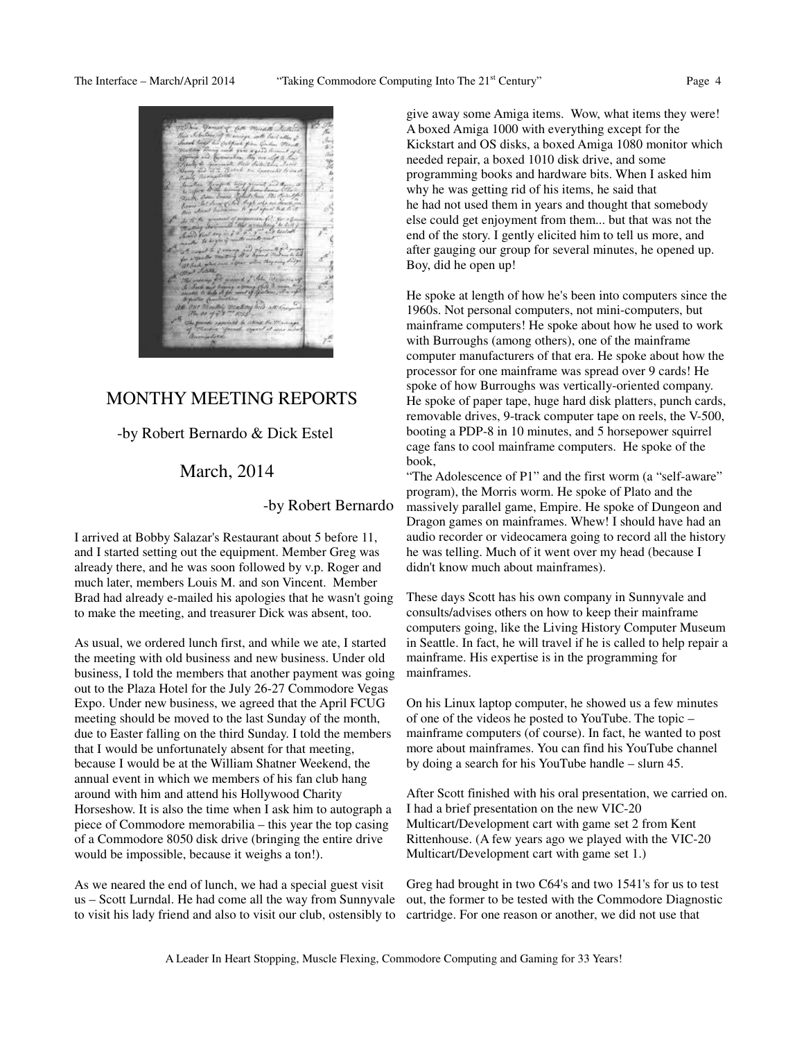

## MONTHY MEETING REPORTS

-by Robert Bernardo & Dick Estel

## March, 2014

-by Robert Bernardo

I arrived at Bobby Salazar's Restaurant about 5 before 11, and I started setting out the equipment. Member Greg was already there, and he was soon followed by v.p. Roger and much later, members Louis M. and son Vincent. Member Brad had already e-mailed his apologies that he wasn't going to make the meeting, and treasurer Dick was absent, too.

As usual, we ordered lunch first, and while we ate, I started the meeting with old business and new business. Under old business, I told the members that another payment was going out to the Plaza Hotel for the July 26-27 Commodore Vegas Expo. Under new business, we agreed that the April FCUG meeting should be moved to the last Sunday of the month, due to Easter falling on the third Sunday. I told the members that I would be unfortunately absent for that meeting, because I would be at the William Shatner Weekend, the annual event in which we members of his fan club hang around with him and attend his Hollywood Charity Horseshow. It is also the time when I ask him to autograph a piece of Commodore memorabilia – this year the top casing of a Commodore 8050 disk drive (bringing the entire drive would be impossible, because it weighs a ton!).

As we neared the end of lunch, we had a special guest visit us – Scott Lurndal. He had come all the way from Sunnyvale to visit his lady friend and also to visit our club, ostensibly to give away some Amiga items. Wow, what items they were! A boxed Amiga 1000 with everything except for the Kickstart and OS disks, a boxed Amiga 1080 monitor which needed repair, a boxed 1010 disk drive, and some programming books and hardware bits. When I asked him why he was getting rid of his items, he said that he had not used them in years and thought that somebody else could get enjoyment from them... but that was not the end of the story. I gently elicited him to tell us more, and after gauging our group for several minutes, he opened up. Boy, did he open up!

He spoke at length of how he's been into computers since the 1960s. Not personal computers, not mini-computers, but mainframe computers! He spoke about how he used to work with Burroughs (among others), one of the mainframe computer manufacturers of that era. He spoke about how the processor for one mainframe was spread over 9 cards! He spoke of how Burroughs was vertically-oriented company. He spoke of paper tape, huge hard disk platters, punch cards, removable drives, 9-track computer tape on reels, the V-500, booting a PDP-8 in 10 minutes, and 5 horsepower squirrel cage fans to cool mainframe computers. He spoke of the book,

"The Adolescence of P1" and the first worm (a "self-aware" program), the Morris worm. He spoke of Plato and the massively parallel game, Empire. He spoke of Dungeon and Dragon games on mainframes. Whew! I should have had an audio recorder or videocamera going to record all the history he was telling. Much of it went over my head (because I didn't know much about mainframes).

These days Scott has his own company in Sunnyvale and consults/advises others on how to keep their mainframe computers going, like the Living History Computer Museum in Seattle. In fact, he will travel if he is called to help repair a mainframe. His expertise is in the programming for mainframes.

On his Linux laptop computer, he showed us a few minutes of one of the videos he posted to YouTube. The topic – mainframe computers (of course). In fact, he wanted to post more about mainframes. You can find his YouTube channel by doing a search for his YouTube handle – slurn 45.

After Scott finished with his oral presentation, we carried on. I had a brief presentation on the new VIC-20 Multicart/Development cart with game set 2 from Kent Rittenhouse. (A few years ago we played with the VIC-20 Multicart/Development cart with game set 1.)

Greg had brought in two C64's and two 1541's for us to test out, the former to be tested with the Commodore Diagnostic cartridge. For one reason or another, we did not use that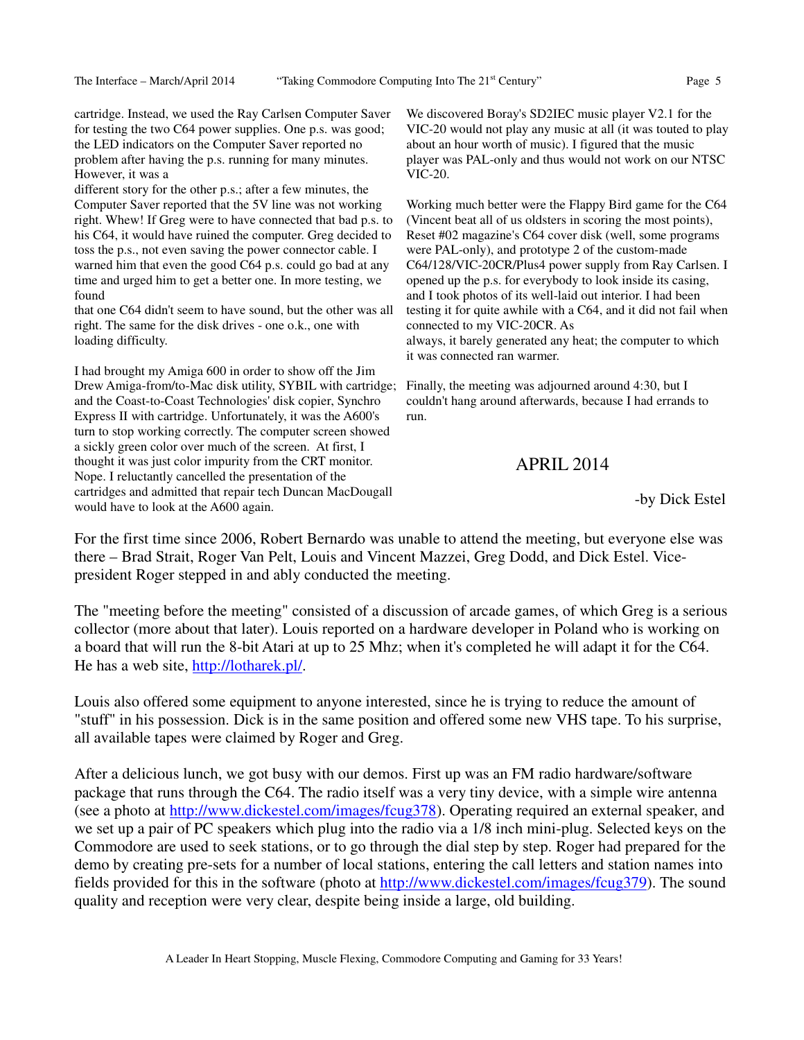cartridge. Instead, we used the Ray Carlsen Computer Saver for testing the two C64 power supplies. One p.s. was good; the LED indicators on the Computer Saver reported no problem after having the p.s. running for many minutes. However, it was a

different story for the other p.s.; after a few minutes, the Computer Saver reported that the 5V line was not working right. Whew! If Greg were to have connected that bad p.s. to his C64, it would have ruined the computer. Greg decided to toss the p.s., not even saving the power connector cable. I warned him that even the good C64 p.s. could go bad at any time and urged him to get a better one. In more testing, we found

that one C64 didn't seem to have sound, but the other was all right. The same for the disk drives - one o.k., one with loading difficulty.

I had brought my Amiga 600 in order to show off the Jim Drew Amiga-from/to-Mac disk utility, SYBIL with cartridge; and the Coast-to-Coast Technologies' disk copier, Synchro Express II with cartridge. Unfortunately, it was the A600's turn to stop working correctly. The computer screen showed a sickly green color over much of the screen. At first, I thought it was just color impurity from the CRT monitor. Nope. I reluctantly cancelled the presentation of the cartridges and admitted that repair tech Duncan MacDougall would have to look at the A600 again.

We discovered Boray's SD2IEC music player V2.1 for the VIC-20 would not play any music at all (it was touted to play about an hour worth of music). I figured that the music player was PAL-only and thus would not work on our NTSC VIC-20.

Working much better were the Flappy Bird game for the C64 (Vincent beat all of us oldsters in scoring the most points), Reset #02 magazine's C64 cover disk (well, some programs were PAL-only), and prototype 2 of the custom-made C64/128/VIC-20CR/Plus4 power supply from Ray Carlsen. I opened up the p.s. for everybody to look inside its casing, and I took photos of its well-laid out interior. I had been testing it for quite awhile with a C64, and it did not fail when connected to my VIC-20CR. As always, it barely generated any heat; the computer to which it was connected ran warmer.

Finally, the meeting was adjourned around 4:30, but I couldn't hang around afterwards, because I had errands to run.

# APRIL 2014

-by Dick Estel

For the first time since 2006, Robert Bernardo was unable to attend the meeting, but everyone else was there – Brad Strait, Roger Van Pelt, Louis and Vincent Mazzei, Greg Dodd, and Dick Estel. Vicepresident Roger stepped in and ably conducted the meeting.

The "meeting before the meeting" consisted of a discussion of arcade games, of which Greg is a serious collector (more about that later). Louis reported on a hardware developer in Poland who is working on a board that will run the 8-bit Atari at up to 25 Mhz; when it's completed he will adapt it for the C64. He has a web site, http://lotharek.pl/.

Louis also offered some equipment to anyone interested, since he is trying to reduce the amount of "stuff" in his possession. Dick is in the same position and offered some new VHS tape. To his surprise, all available tapes were claimed by Roger and Greg.

After a delicious lunch, we got busy with our demos. First up was an FM radio hardware/software package that runs through the C64. The radio itself was a very tiny device, with a simple wire antenna (see a photo at http://www.dickestel.com/images/fcug378). Operating required an external speaker, and we set up a pair of PC speakers which plug into the radio via a 1/8 inch mini-plug. Selected keys on the Commodore are used to seek stations, or to go through the dial step by step. Roger had prepared for the demo by creating pre-sets for a number of local stations, entering the call letters and station names into fields provided for this in the software (photo at http://www.dickestel.com/images/fcug379). The sound quality and reception were very clear, despite being inside a large, old building.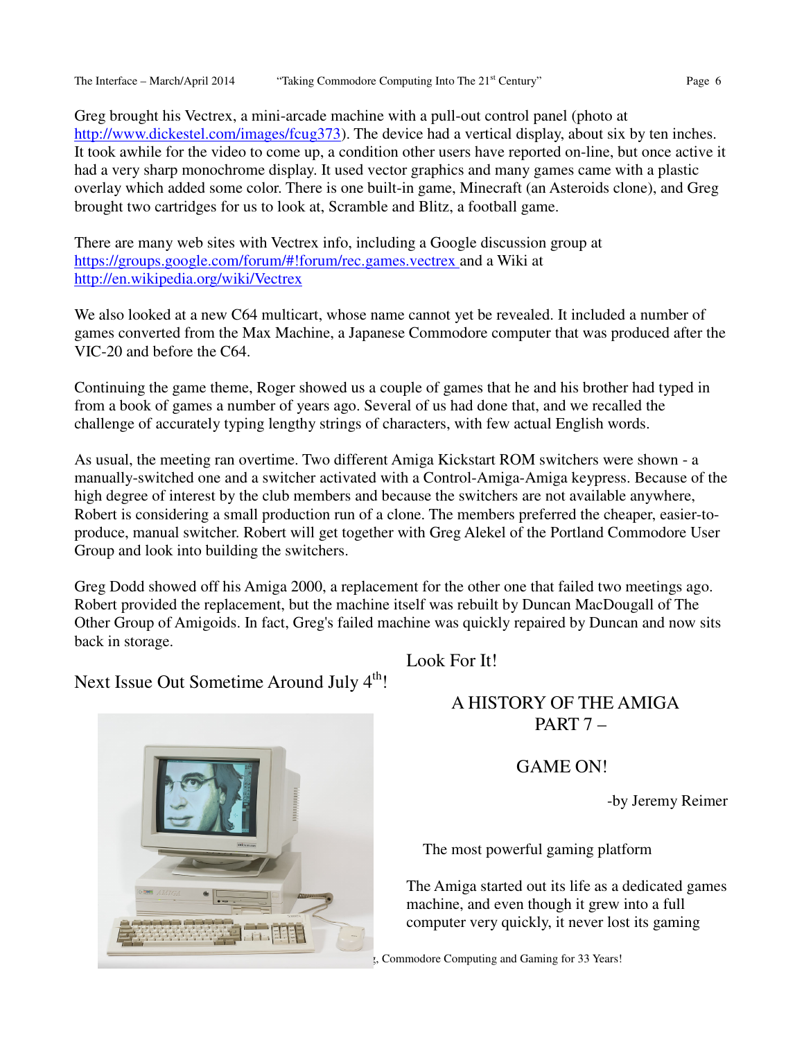Greg brought his Vectrex, a mini-arcade machine with a pull-out control panel (photo at http://www.dickestel.com/images/fcug373). The device had a vertical display, about six by ten inches. It took awhile for the video to come up, a condition other users have reported on-line, but once active it had a very sharp monochrome display. It used vector graphics and many games came with a plastic overlay which added some color. There is one built-in game, Minecraft (an Asteroids clone), and Greg brought two cartridges for us to look at, Scramble and Blitz, a football game.

There are many web sites with Vectrex info, including a Google discussion group at https://groups.google.com/forum/#!forum/rec.games.vectrex and a Wiki at http://en.wikipedia.org/wiki/Vectrex

We also looked at a new C64 multicart, whose name cannot yet be revealed. It included a number of games converted from the Max Machine, a Japanese Commodore computer that was produced after the VIC-20 and before the C64.

Continuing the game theme, Roger showed us a couple of games that he and his brother had typed in from a book of games a number of years ago. Several of us had done that, and we recalled the challenge of accurately typing lengthy strings of characters, with few actual English words.

As usual, the meeting ran overtime. Two different Amiga Kickstart ROM switchers were shown - a manually-switched one and a switcher activated with a Control-Amiga-Amiga keypress. Because of the high degree of interest by the club members and because the switchers are not available anywhere, Robert is considering a small production run of a clone. The members preferred the cheaper, easier-toproduce, manual switcher. Robert will get together with Greg Alekel of the Portland Commodore User Group and look into building the switchers.

Greg Dodd showed off his Amiga 2000, a replacement for the other one that failed two meetings ago. Robert provided the replacement, but the machine itself was rebuilt by Duncan MacDougall of The Other Group of Amigoids. In fact, Greg's failed machine was quickly repaired by Duncan and now sits back in storage.

Look For It!

Next Issue Out Sometime Around July  $4<sup>th</sup>$ !



# A HISTORY OF THE AMIGA

PART 7 –

## GAME ON!

-by Jeremy Reimer

The most powerful gaming platform

The Amiga started out its life as a dedicated games machine, and even though it grew into a full computer very quickly, it never lost its gaming

, Commodore Computing and Gaming for 33 Years!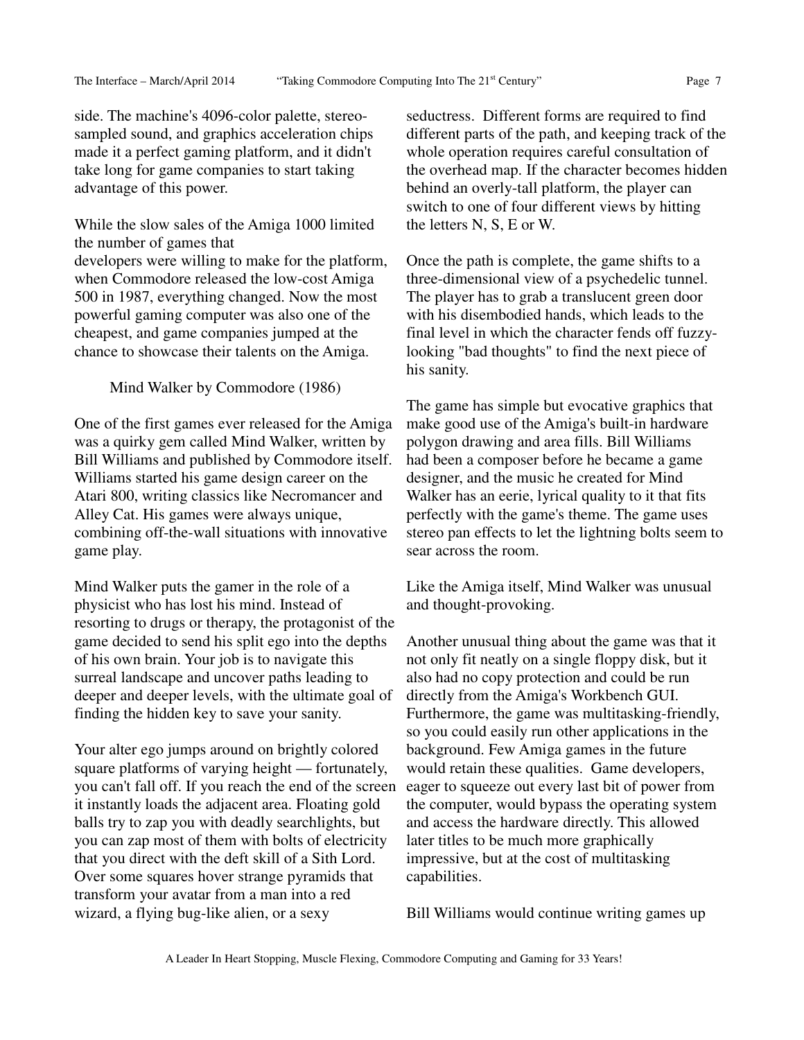side. The machine's 4096-color palette, stereosampled sound, and graphics acceleration chips made it a perfect gaming platform, and it didn't take long for game companies to start taking advantage of this power.

While the slow sales of the Amiga 1000 limited the number of games that developers were willing to make for the platform, when Commodore released the low-cost Amiga 500 in 1987, everything changed. Now the most powerful gaming computer was also one of the cheapest, and game companies jumped at the chance to showcase their talents on the Amiga.

Mind Walker by Commodore (1986)

One of the first games ever released for the Amiga was a quirky gem called Mind Walker, written by Bill Williams and published by Commodore itself. Williams started his game design career on the Atari 800, writing classics like Necromancer and Alley Cat. His games were always unique, combining off-the-wall situations with innovative game play.

Mind Walker puts the gamer in the role of a physicist who has lost his mind. Instead of resorting to drugs or therapy, the protagonist of the game decided to send his split ego into the depths of his own brain. Your job is to navigate this surreal landscape and uncover paths leading to deeper and deeper levels, with the ultimate goal of finding the hidden key to save your sanity.

Your alter ego jumps around on brightly colored square platforms of varying height — fortunately, you can't fall off. If you reach the end of the screen it instantly loads the adjacent area. Floating gold balls try to zap you with deadly searchlights, but you can zap most of them with bolts of electricity that you direct with the deft skill of a Sith Lord. Over some squares hover strange pyramids that transform your avatar from a man into a red wizard, a flying bug-like alien, or a sexy

seductress. Different forms are required to find different parts of the path, and keeping track of the whole operation requires careful consultation of the overhead map. If the character becomes hidden behind an overly-tall platform, the player can switch to one of four different views by hitting the letters N, S, E or W.

Once the path is complete, the game shifts to a three-dimensional view of a psychedelic tunnel. The player has to grab a translucent green door with his disembodied hands, which leads to the final level in which the character fends off fuzzylooking "bad thoughts" to find the next piece of his sanity.

The game has simple but evocative graphics that make good use of the Amiga's built-in hardware polygon drawing and area fills. Bill Williams had been a composer before he became a game designer, and the music he created for Mind Walker has an eerie, lyrical quality to it that fits perfectly with the game's theme. The game uses stereo pan effects to let the lightning bolts seem to sear across the room.

Like the Amiga itself, Mind Walker was unusual and thought-provoking.

Another unusual thing about the game was that it not only fit neatly on a single floppy disk, but it also had no copy protection and could be run directly from the Amiga's Workbench GUI. Furthermore, the game was multitasking-friendly, so you could easily run other applications in the background. Few Amiga games in the future would retain these qualities. Game developers, eager to squeeze out every last bit of power from the computer, would bypass the operating system and access the hardware directly. This allowed later titles to be much more graphically impressive, but at the cost of multitasking capabilities.

Bill Williams would continue writing games up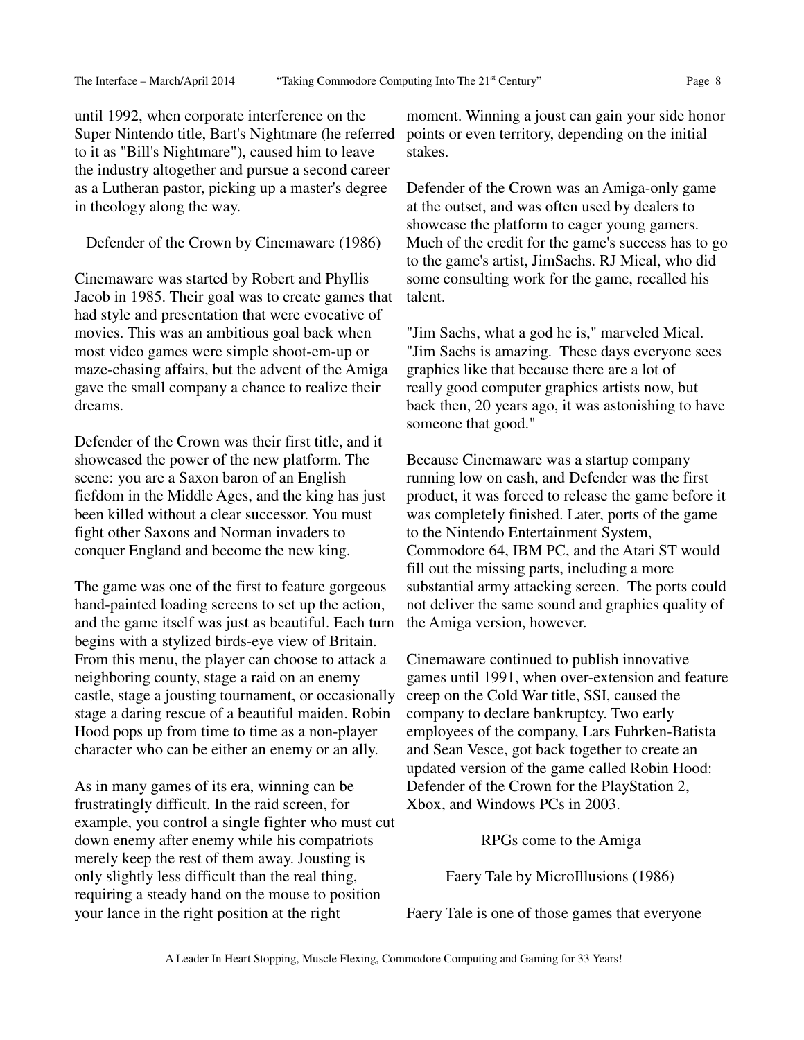until 1992, when corporate interference on the Super Nintendo title, Bart's Nightmare (he referred to it as "Bill's Nightmare"), caused him to leave the industry altogether and pursue a second career as a Lutheran pastor, picking up a master's degree in theology along the way.

Defender of the Crown by Cinemaware (1986)

Cinemaware was started by Robert and Phyllis Jacob in 1985. Their goal was to create games that had style and presentation that were evocative of movies. This was an ambitious goal back when most video games were simple shoot-em-up or maze-chasing affairs, but the advent of the Amiga gave the small company a chance to realize their dreams.

Defender of the Crown was their first title, and it showcased the power of the new platform. The scene: you are a Saxon baron of an English fiefdom in the Middle Ages, and the king has just been killed without a clear successor. You must fight other Saxons and Norman invaders to conquer England and become the new king.

The game was one of the first to feature gorgeous hand-painted loading screens to set up the action, and the game itself was just as beautiful. Each turn begins with a stylized birds-eye view of Britain. From this menu, the player can choose to attack a neighboring county, stage a raid on an enemy castle, stage a jousting tournament, or occasionally stage a daring rescue of a beautiful maiden. Robin Hood pops up from time to time as a non-player character who can be either an enemy or an ally.

As in many games of its era, winning can be frustratingly difficult. In the raid screen, for example, you control a single fighter who must cut down enemy after enemy while his compatriots merely keep the rest of them away. Jousting is only slightly less difficult than the real thing, requiring a steady hand on the mouse to position your lance in the right position at the right

moment. Winning a joust can gain your side honor points or even territory, depending on the initial stakes.

Defender of the Crown was an Amiga-only game at the outset, and was often used by dealers to showcase the platform to eager young gamers. Much of the credit for the game's success has to go to the game's artist, JimSachs. RJ Mical, who did some consulting work for the game, recalled his talent.

"Jim Sachs, what a god he is," marveled Mical. "Jim Sachs is amazing. These days everyone sees graphics like that because there are a lot of really good computer graphics artists now, but back then, 20 years ago, it was astonishing to have someone that good."

Because Cinemaware was a startup company running low on cash, and Defender was the first product, it was forced to release the game before it was completely finished. Later, ports of the game to the Nintendo Entertainment System, Commodore 64, IBM PC, and the Atari ST would fill out the missing parts, including a more substantial army attacking screen. The ports could not deliver the same sound and graphics quality of the Amiga version, however.

Cinemaware continued to publish innovative games until 1991, when over-extension and feature creep on the Cold War title, SSI, caused the company to declare bankruptcy. Two early employees of the company, Lars Fuhrken-Batista and Sean Vesce, got back together to create an updated version of the game called Robin Hood: Defender of the Crown for the PlayStation 2, Xbox, and Windows PCs in 2003.

RPGs come to the Amiga

Faery Tale by MicroIllusions (1986)

Faery Tale is one of those games that everyone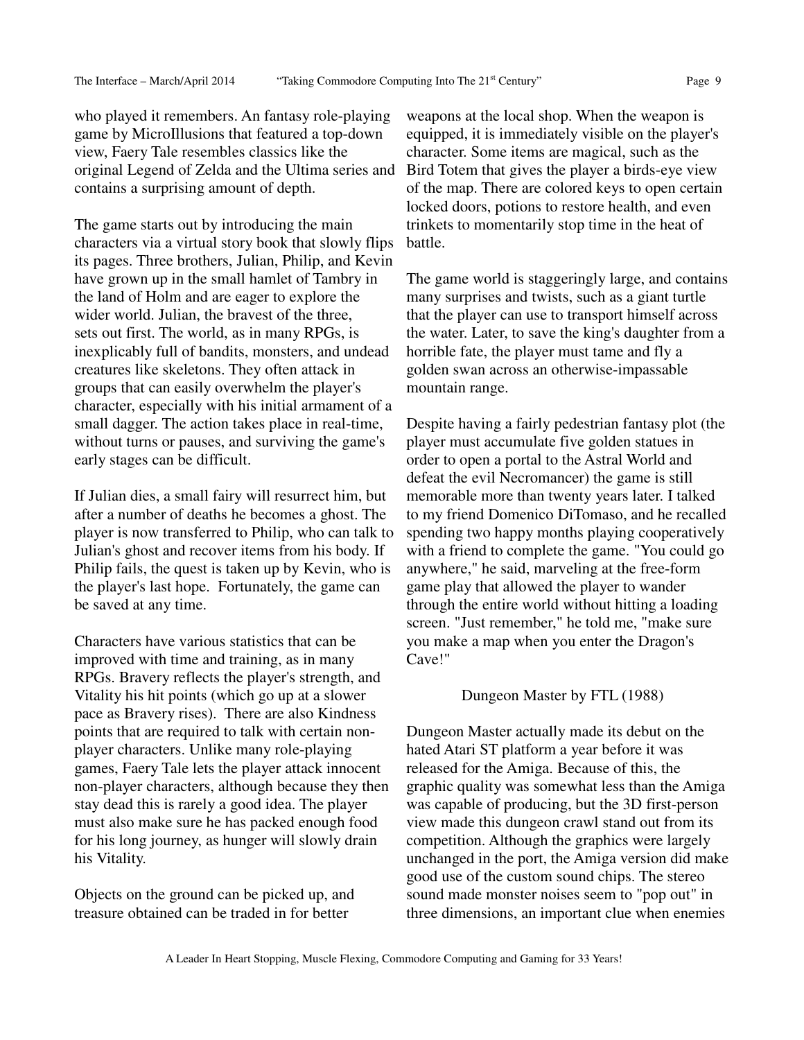who played it remembers. An fantasy role-playing game by MicroIllusions that featured a top-down view, Faery Tale resembles classics like the original Legend of Zelda and the Ultima series and contains a surprising amount of depth.

The game starts out by introducing the main characters via a virtual story book that slowly flips its pages. Three brothers, Julian, Philip, and Kevin have grown up in the small hamlet of Tambry in the land of Holm and are eager to explore the wider world. Julian, the bravest of the three, sets out first. The world, as in many RPGs, is inexplicably full of bandits, monsters, and undead creatures like skeletons. They often attack in groups that can easily overwhelm the player's character, especially with his initial armament of a small dagger. The action takes place in real-time, without turns or pauses, and surviving the game's early stages can be difficult.

If Julian dies, a small fairy will resurrect him, but after a number of deaths he becomes a ghost. The player is now transferred to Philip, who can talk to Julian's ghost and recover items from his body. If Philip fails, the quest is taken up by Kevin, who is the player's last hope. Fortunately, the game can be saved at any time.

Characters have various statistics that can be improved with time and training, as in many RPGs. Bravery reflects the player's strength, and Vitality his hit points (which go up at a slower pace as Bravery rises). There are also Kindness points that are required to talk with certain nonplayer characters. Unlike many role-playing games, Faery Tale lets the player attack innocent non-player characters, although because they then stay dead this is rarely a good idea. The player must also make sure he has packed enough food for his long journey, as hunger will slowly drain his Vitality.

Objects on the ground can be picked up, and treasure obtained can be traded in for better

weapons at the local shop. When the weapon is equipped, it is immediately visible on the player's character. Some items are magical, such as the Bird Totem that gives the player a birds-eye view of the map. There are colored keys to open certain locked doors, potions to restore health, and even trinkets to momentarily stop time in the heat of battle.

The game world is staggeringly large, and contains many surprises and twists, such as a giant turtle that the player can use to transport himself across the water. Later, to save the king's daughter from a horrible fate, the player must tame and fly a golden swan across an otherwise-impassable mountain range.

Despite having a fairly pedestrian fantasy plot (the player must accumulate five golden statues in order to open a portal to the Astral World and defeat the evil Necromancer) the game is still memorable more than twenty years later. I talked to my friend Domenico DiTomaso, and he recalled spending two happy months playing cooperatively with a friend to complete the game. "You could go anywhere," he said, marveling at the free-form game play that allowed the player to wander through the entire world without hitting a loading screen. "Just remember," he told me, "make sure you make a map when you enter the Dragon's Cave!"

#### Dungeon Master by FTL (1988)

Dungeon Master actually made its debut on the hated Atari ST platform a year before it was released for the Amiga. Because of this, the graphic quality was somewhat less than the Amiga was capable of producing, but the 3D first-person view made this dungeon crawl stand out from its competition. Although the graphics were largely unchanged in the port, the Amiga version did make good use of the custom sound chips. The stereo sound made monster noises seem to "pop out" in three dimensions, an important clue when enemies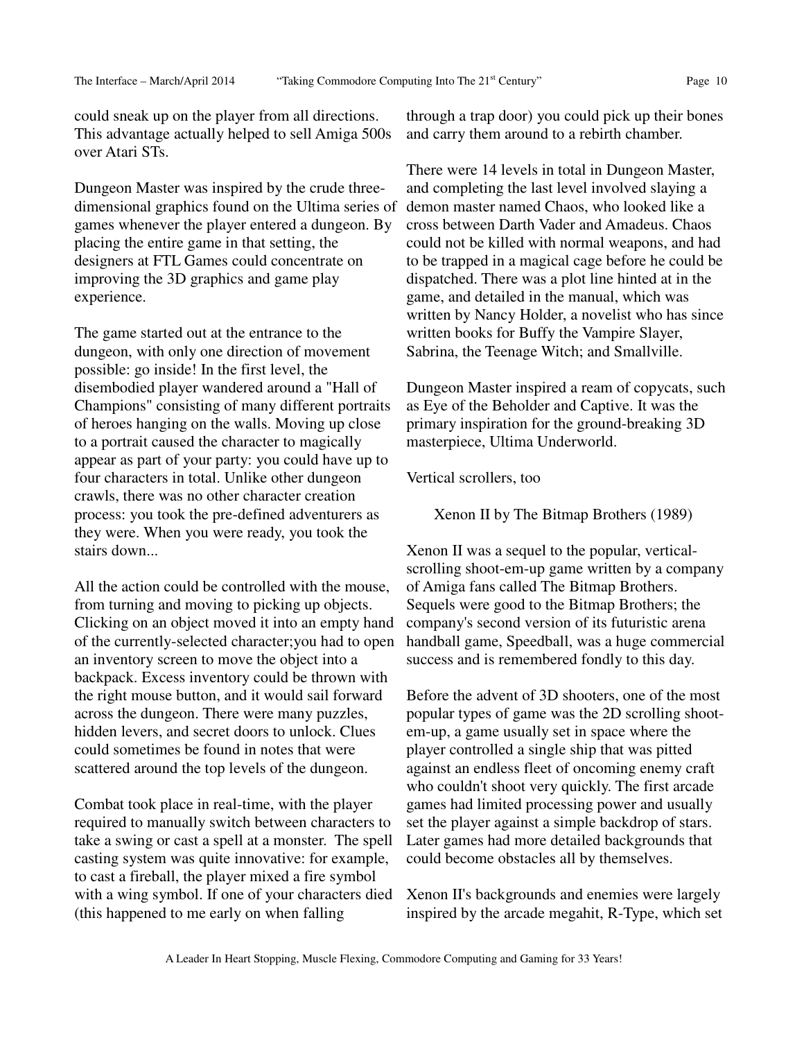could sneak up on the player from all directions. This advantage actually helped to sell Amiga 500s over Atari STs.

Dungeon Master was inspired by the crude threedimensional graphics found on the Ultima series of games whenever the player entered a dungeon. By placing the entire game in that setting, the designers at FTL Games could concentrate on improving the 3D graphics and game play experience.

The game started out at the entrance to the dungeon, with only one direction of movement possible: go inside! In the first level, the disembodied player wandered around a "Hall of Champions" consisting of many different portraits of heroes hanging on the walls. Moving up close to a portrait caused the character to magically appear as part of your party: you could have up to four characters in total. Unlike other dungeon crawls, there was no other character creation process: you took the pre-defined adventurers as they were. When you were ready, you took the stairs down...

All the action could be controlled with the mouse, from turning and moving to picking up objects. Clicking on an object moved it into an empty hand of the currently-selected character;you had to open an inventory screen to move the object into a backpack. Excess inventory could be thrown with the right mouse button, and it would sail forward across the dungeon. There were many puzzles, hidden levers, and secret doors to unlock. Clues could sometimes be found in notes that were scattered around the top levels of the dungeon.

Combat took place in real-time, with the player required to manually switch between characters to take a swing or cast a spell at a monster. The spell casting system was quite innovative: for example, to cast a fireball, the player mixed a fire symbol with a wing symbol. If one of your characters died (this happened to me early on when falling

through a trap door) you could pick up their bones and carry them around to a rebirth chamber.

There were 14 levels in total in Dungeon Master, and completing the last level involved slaying a demon master named Chaos, who looked like a cross between Darth Vader and Amadeus. Chaos could not be killed with normal weapons, and had to be trapped in a magical cage before he could be dispatched. There was a plot line hinted at in the game, and detailed in the manual, which was written by Nancy Holder, a novelist who has since written books for Buffy the Vampire Slayer, Sabrina, the Teenage Witch; and Smallville.

Dungeon Master inspired a ream of copycats, such as Eye of the Beholder and Captive. It was the primary inspiration for the ground-breaking 3D masterpiece, Ultima Underworld.

Vertical scrollers, too

Xenon II by The Bitmap Brothers (1989)

Xenon II was a sequel to the popular, verticalscrolling shoot-em-up game written by a company of Amiga fans called The Bitmap Brothers. Sequels were good to the Bitmap Brothers; the company's second version of its futuristic arena handball game, Speedball, was a huge commercial success and is remembered fondly to this day.

Before the advent of 3D shooters, one of the most popular types of game was the 2D scrolling shootem-up, a game usually set in space where the player controlled a single ship that was pitted against an endless fleet of oncoming enemy craft who couldn't shoot very quickly. The first arcade games had limited processing power and usually set the player against a simple backdrop of stars. Later games had more detailed backgrounds that could become obstacles all by themselves.

Xenon II's backgrounds and enemies were largely inspired by the arcade megahit, R-Type, which set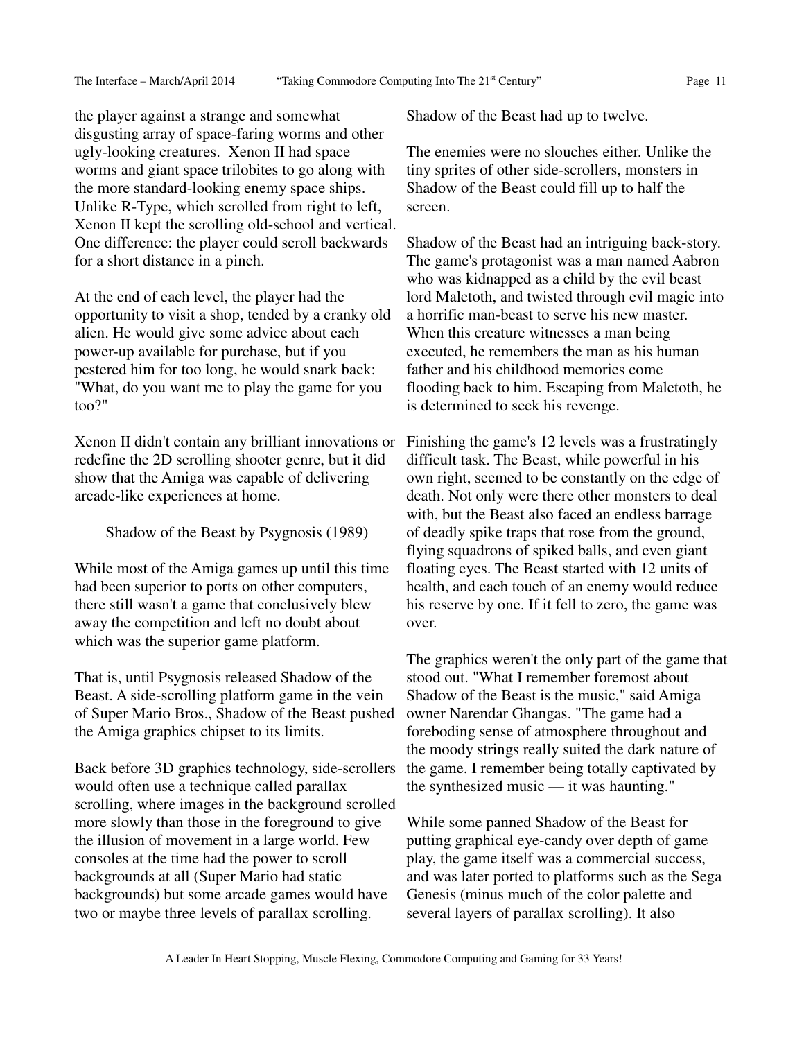the player against a strange and somewhat disgusting array of space-faring worms and other ugly-looking creatures. Xenon II had space worms and giant space trilobites to go along with the more standard-looking enemy space ships. Unlike R-Type, which scrolled from right to left, Xenon II kept the scrolling old-school and vertical. One difference: the player could scroll backwards for a short distance in a pinch.

At the end of each level, the player had the opportunity to visit a shop, tended by a cranky old alien. He would give some advice about each power-up available for purchase, but if you pestered him for too long, he would snark back: "What, do you want me to play the game for you too?"

Xenon II didn't contain any brilliant innovations or redefine the 2D scrolling shooter genre, but it did show that the Amiga was capable of delivering arcade-like experiences at home.

Shadow of the Beast by Psygnosis (1989)

While most of the Amiga games up until this time had been superior to ports on other computers, there still wasn't a game that conclusively blew away the competition and left no doubt about which was the superior game platform.

That is, until Psygnosis released Shadow of the Beast. A side-scrolling platform game in the vein of Super Mario Bros., Shadow of the Beast pushed the Amiga graphics chipset to its limits.

Back before 3D graphics technology, side-scrollers would often use a technique called parallax scrolling, where images in the background scrolled more slowly than those in the foreground to give the illusion of movement in a large world. Few consoles at the time had the power to scroll backgrounds at all (Super Mario had static backgrounds) but some arcade games would have two or maybe three levels of parallax scrolling.

Shadow of the Beast had up to twelve.

The enemies were no slouches either. Unlike the tiny sprites of other side-scrollers, monsters in Shadow of the Beast could fill up to half the screen.

Shadow of the Beast had an intriguing back-story. The game's protagonist was a man named Aabron who was kidnapped as a child by the evil beast lord Maletoth, and twisted through evil magic into a horrific man-beast to serve his new master. When this creature witnesses a man being executed, he remembers the man as his human father and his childhood memories come flooding back to him. Escaping from Maletoth, he is determined to seek his revenge.

Finishing the game's 12 levels was a frustratingly difficult task. The Beast, while powerful in his own right, seemed to be constantly on the edge of death. Not only were there other monsters to deal with, but the Beast also faced an endless barrage of deadly spike traps that rose from the ground, flying squadrons of spiked balls, and even giant floating eyes. The Beast started with 12 units of health, and each touch of an enemy would reduce his reserve by one. If it fell to zero, the game was over.

The graphics weren't the only part of the game that stood out. "What I remember foremost about Shadow of the Beast is the music," said Amiga owner Narendar Ghangas. "The game had a foreboding sense of atmosphere throughout and the moody strings really suited the dark nature of the game. I remember being totally captivated by the synthesized music — it was haunting."

While some panned Shadow of the Beast for putting graphical eye-candy over depth of game play, the game itself was a commercial success, and was later ported to platforms such as the Sega Genesis (minus much of the color palette and several layers of parallax scrolling). It also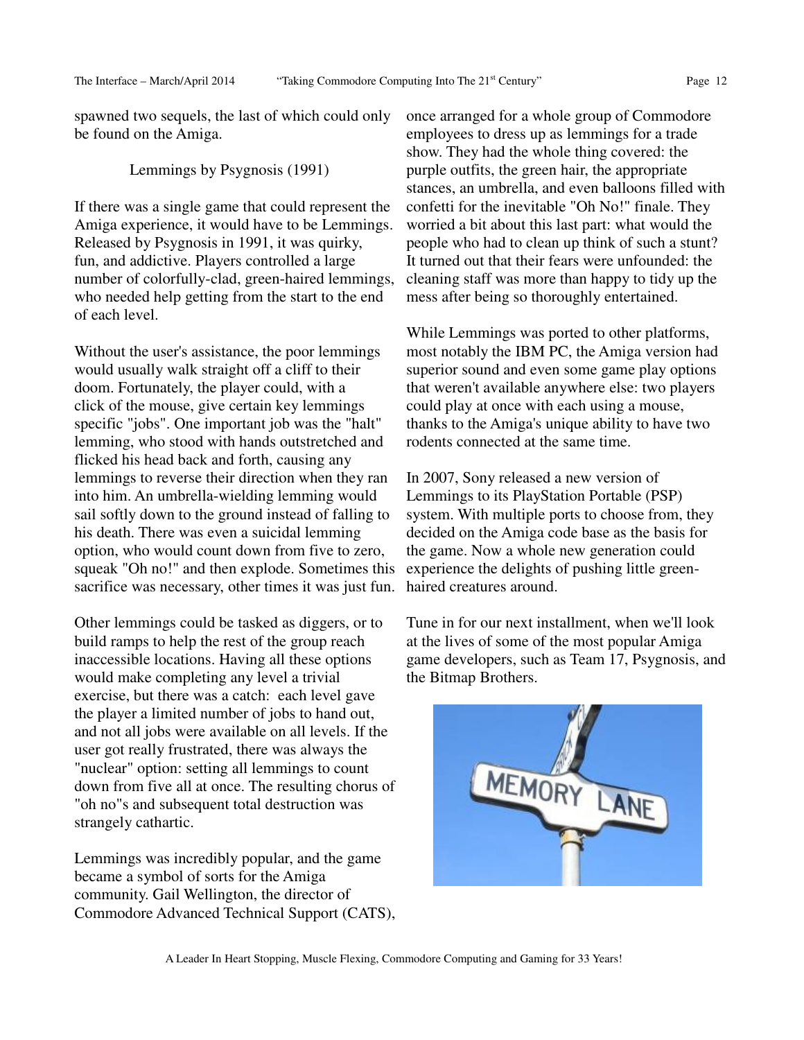spawned two sequels, the last of which could only be found on the Amiga.

#### Lemmings by Psygnosis (1991)

If there was a single game that could represent the Amiga experience, it would have to be Lemmings. Released by Psygnosis in 1991, it was quirky, fun, and addictive. Players controlled a large number of colorfully-clad, green-haired lemmings, who needed help getting from the start to the end of each level.

Without the user's assistance, the poor lemmings would usually walk straight off a cliff to their doom. Fortunately, the player could, with a click of the mouse, give certain key lemmings specific "jobs". One important job was the "halt" lemming, who stood with hands outstretched and flicked his head back and forth, causing any lemmings to reverse their direction when they ran into him. An umbrella-wielding lemming would sail softly down to the ground instead of falling to his death. There was even a suicidal lemming option, who would count down from five to zero, squeak "Oh no!" and then explode. Sometimes this sacrifice was necessary, other times it was just fun.

Other lemmings could be tasked as diggers, or to build ramps to help the rest of the group reach inaccessible locations. Having all these options would make completing any level a trivial exercise, but there was a catch: each level gave the player a limited number of jobs to hand out, and not all jobs were available on all levels. If the user got really frustrated, there was always the "nuclear" option: setting all lemmings to count down from five all at once. The resulting chorus of "oh no"s and subsequent total destruction was strangely cathartic.

Lemmings was incredibly popular, and the game became a symbol of sorts for the Amiga community. Gail Wellington, the director of Commodore Advanced Technical Support (CATS), once arranged for a whole group of Commodore employees to dress up as lemmings for a trade show. They had the whole thing covered: the purple outfits, the green hair, the appropriate stances, an umbrella, and even balloons filled with confetti for the inevitable "Oh No!" finale. They worried a bit about this last part: what would the people who had to clean up think of such a stunt? It turned out that their fears were unfounded: the cleaning staff was more than happy to tidy up the mess after being so thoroughly entertained.

While Lemmings was ported to other platforms, most notably the IBM PC, the Amiga version had superior sound and even some game play options that weren't available anywhere else: two players could play at once with each using a mouse, thanks to the Amiga's unique ability to have two rodents connected at the same time.

In 2007, Sony released a new version of Lemmings to its PlayStation Portable (PSP) system. With multiple ports to choose from, they decided on the Amiga code base as the basis for the game. Now a whole new generation could experience the delights of pushing little greenhaired creatures around.

Tune in for our next installment, when we'll look at the lives of some of the most popular Amiga game developers, such as Team 17, Psygnosis, and the Bitmap Brothers.

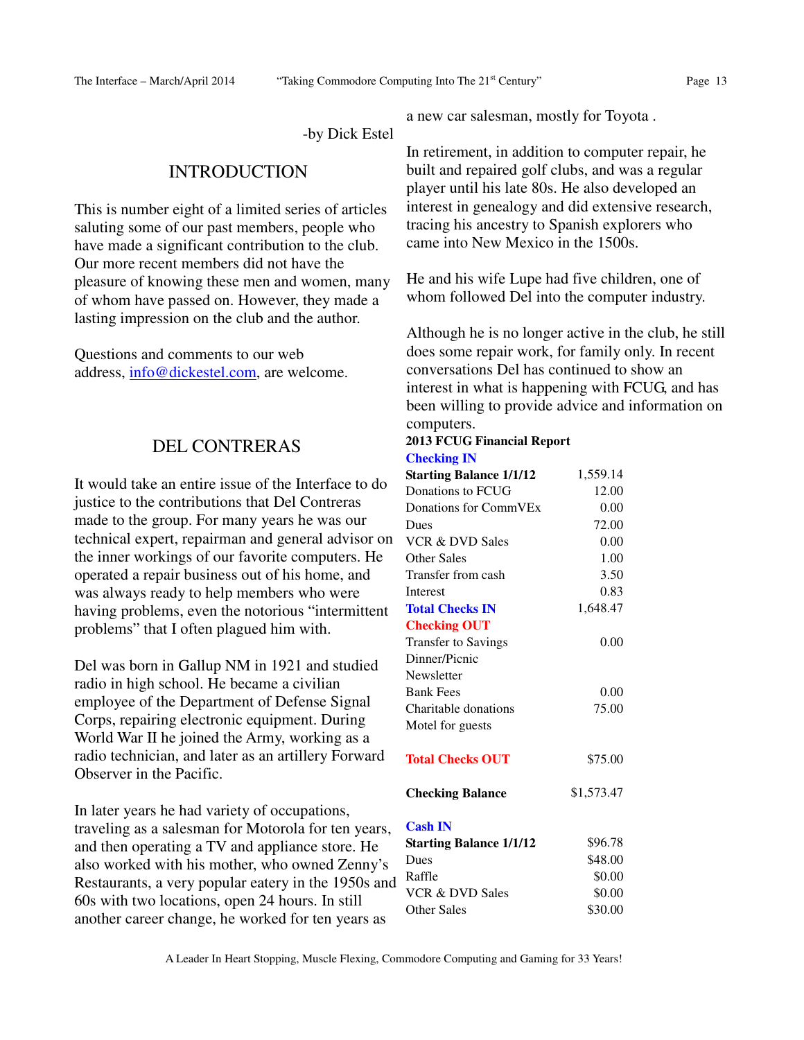-by Dick Estel

## INTRODUCTION

This is number eight of a limited series of articles saluting some of our past members, people who have made a significant contribution to the club. Our more recent members did not have the pleasure of knowing these men and women, many of whom have passed on. However, they made a lasting impression on the club and the author.

Questions and comments to our web address, info@dickestel.com, are welcome.

# DEL CONTRERAS

It would take an entire issue of the Interface to do justice to the contributions that Del Contreras made to the group. For many years he was our technical expert, repairman and general advisor on the inner workings of our favorite computers. He operated a repair business out of his home, and was always ready to help members who were having problems, even the notorious "intermittent problems" that I often plagued him with.

Del was born in Gallup NM in 1921 and studied radio in high school. He became a civilian employee of the Department of Defense Signal Corps, repairing electronic equipment. During World War II he joined the Army, working as a radio technician, and later as an artillery Forward Observer in the Pacific.

In later years he had variety of occupations, traveling as a salesman for Motorola for ten years, and then operating a TV and appliance store. He also worked with his mother, who owned Zenny's Restaurants, a very popular eatery in the 1950s and 60s with two locations, open 24 hours. In still another career change, he worked for ten years as

a new car salesman, mostly for Toyota .

In retirement, in addition to computer repair, he built and repaired golf clubs, and was a regular player until his late 80s. He also developed an interest in genealogy and did extensive research, tracing his ancestry to Spanish explorers who came into New Mexico in the 1500s.

He and his wife Lupe had five children, one of whom followed Del into the computer industry.

Although he is no longer active in the club, he still does some repair work, for family only. In recent conversations Del has continued to show an interest in what is happening with FCUG, and has been willing to provide advice and information on computers.

#### **2013 FCUG Financial Report Checking IN**

| <b>Starting Balance 1/1/12</b> | 1,559.14   |
|--------------------------------|------------|
| Donations to FCUG              | 12.00      |
| Donations for CommVEx          | 0.00       |
| Dues                           | 72.00      |
| <b>VCR &amp; DVD Sales</b>     | 0.00       |
| Other Sales                    | 1.00       |
| Transfer from cash             | 3.50       |
| Interest                       | 0.83       |
| <b>Total Checks IN</b>         | 1,648.47   |
| <b>Checking OUT</b>            |            |
| <b>Transfer to Savings</b>     | 0.00       |
| Dinner/Picnic                  |            |
| Newsletter                     |            |
| <b>Bank Fees</b>               | 0.00       |
| Charitable donations           | 75.00      |
| Motel for guests               |            |
| <b>Total Checks OUT</b>        | \$75.00    |
| <b>Checking Balance</b>        | \$1,573.47 |
| <b>Cash IN</b>                 |            |
| <b>Starting Balance 1/1/12</b> | \$96.78    |
| Dues                           | \$48.00    |
| Raffle                         | \$0.00     |
| <b>VCR &amp; DVD Sales</b>     | \$0.00     |
| <b>Other Sales</b>             | \$30.00    |